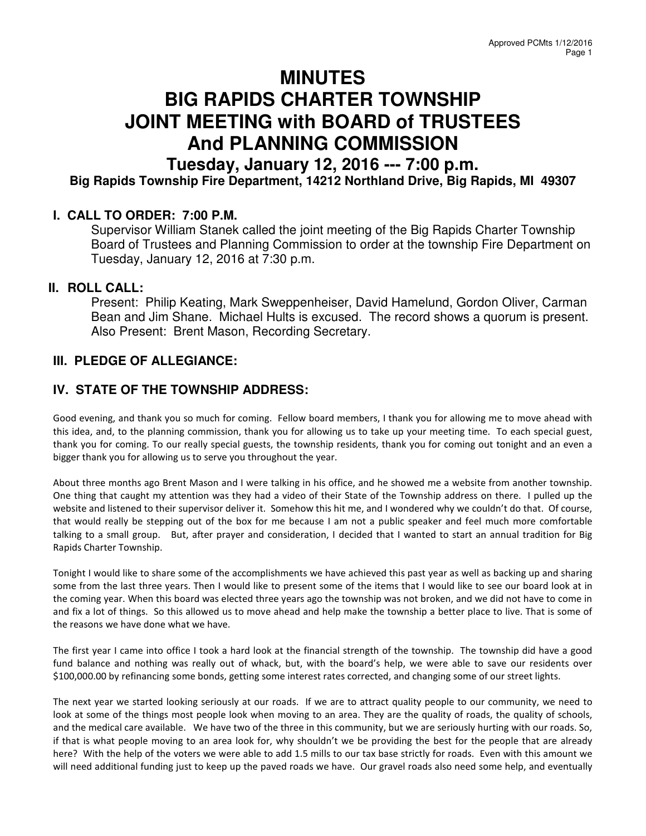# **MINUTES BIG RAPIDS CHARTER TOWNSHIP JOINT MEETING with BOARD of TRUSTEES And PLANNING COMMISSION**

**Tuesday, January 12, 2016 --- 7:00 p.m. Big Rapids Township Fire Department, 14212 Northland Drive, Big Rapids, MI 49307** 

# **I. CALL TO ORDER: 7:00 P.M.**

Supervisor William Stanek called the joint meeting of the Big Rapids Charter Township Board of Trustees and Planning Commission to order at the township Fire Department on Tuesday, January 12, 2016 at 7:30 p.m.

#### **II. ROLL CALL:**

Present: Philip Keating, Mark Sweppenheiser, David Hamelund, Gordon Oliver, Carman Bean and Jim Shane. Michael Hults is excused. The record shows a quorum is present. Also Present: Brent Mason, Recording Secretary.

# **III. PLEDGE OF ALLEGIANCE:**

# **IV. STATE OF THE TOWNSHIP ADDRESS:**

Good evening, and thank you so much for coming. Fellow board members, I thank you for allowing me to move ahead with this idea, and, to the planning commission, thank you for allowing us to take up your meeting time. To each special guest, thank you for coming. To our really special guests, the township residents, thank you for coming out tonight and an even a bigger thank you for allowing us to serve you throughout the year.

About three months ago Brent Mason and I were talking in his office, and he showed me a website from another township. One thing that caught my attention was they had a video of their State of the Township address on there. I pulled up the website and listened to their supervisor deliver it. Somehow this hit me, and I wondered why we couldn't do that. Of course, that would really be stepping out of the box for me because I am not a public speaker and feel much more comfortable talking to a small group. But, after prayer and consideration, I decided that I wanted to start an annual tradition for Big Rapids Charter Township.

Tonight I would like to share some of the accomplishments we have achieved this past year as well as backing up and sharing some from the last three years. Then I would like to present some of the items that I would like to see our board look at in the coming year. When this board was elected three years ago the township was not broken, and we did not have to come in and fix a lot of things. So this allowed us to move ahead and help make the township a better place to live. That is some of the reasons we have done what we have.

The first year I came into office I took a hard look at the financial strength of the township. The township did have a good fund balance and nothing was really out of whack, but, with the board's help, we were able to save our residents over \$100,000.00 by refinancing some bonds, getting some interest rates corrected, and changing some of our street lights.

The next year we started looking seriously at our roads. If we are to attract quality people to our community, we need to look at some of the things most people look when moving to an area. They are the quality of roads, the quality of schools, and the medical care available. We have two of the three in this community, but we are seriously hurting with our roads. So, if that is what people moving to an area look for, why shouldn't we be providing the best for the people that are already here? With the help of the voters we were able to add 1.5 mills to our tax base strictly for roads. Even with this amount we will need additional funding just to keep up the paved roads we have. Our gravel roads also need some help, and eventually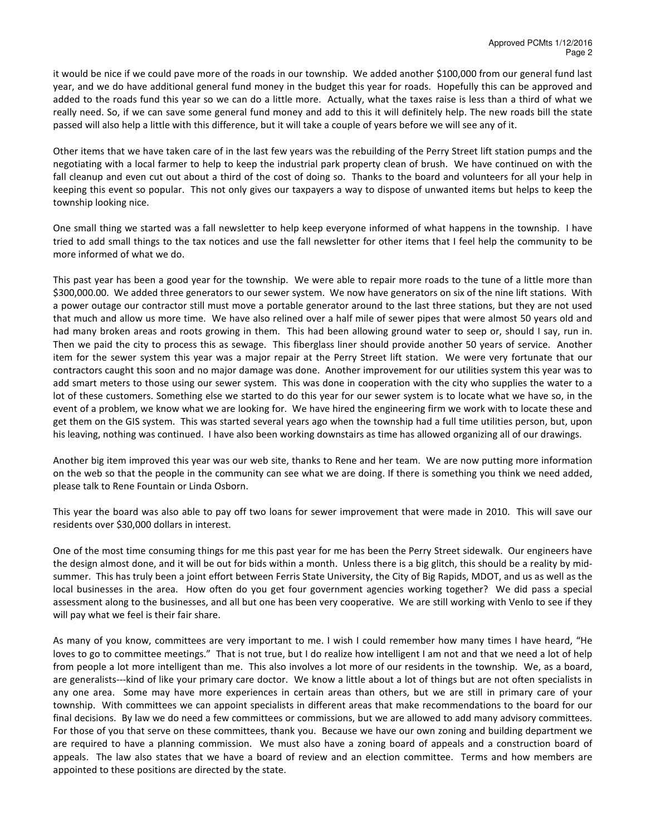it would be nice if we could pave more of the roads in our township. We added another \$100,000 from our general fund last year, and we do have additional general fund money in the budget this year for roads. Hopefully this can be approved and added to the roads fund this year so we can do a little more. Actually, what the taxes raise is less than a third of what we really need. So, if we can save some general fund money and add to this it will definitely help. The new roads bill the state passed will also help a little with this difference, but it will take a couple of years before we will see any of it.

Other items that we have taken care of in the last few years was the rebuilding of the Perry Street lift station pumps and the negotiating with a local farmer to help to keep the industrial park property clean of brush. We have continued on with the fall cleanup and even cut out about a third of the cost of doing so. Thanks to the board and volunteers for all your help in keeping this event so popular. This not only gives our taxpayers a way to dispose of unwanted items but helps to keep the township looking nice.

One small thing we started was a fall newsletter to help keep everyone informed of what happens in the township. I have tried to add small things to the tax notices and use the fall newsletter for other items that I feel help the community to be more informed of what we do.

This past year has been a good year for the township. We were able to repair more roads to the tune of a little more than \$300,000.00. We added three generators to our sewer system. We now have generators on six of the nine lift stations. With a power outage our contractor still must move a portable generator around to the last three stations, but they are not used that much and allow us more time. We have also relined over a half mile of sewer pipes that were almost 50 years old and had many broken areas and roots growing in them. This had been allowing ground water to seep or, should I say, run in. Then we paid the city to process this as sewage. This fiberglass liner should provide another 50 years of service. Another item for the sewer system this year was a major repair at the Perry Street lift station. We were very fortunate that our contractors caught this soon and no major damage was done. Another improvement for our utilities system this year was to add smart meters to those using our sewer system. This was done in cooperation with the city who supplies the water to a lot of these customers. Something else we started to do this year for our sewer system is to locate what we have so, in the event of a problem, we know what we are looking for. We have hired the engineering firm we work with to locate these and get them on the GIS system. This was started several years ago when the township had a full time utilities person, but, upon his leaving, nothing was continued. I have also been working downstairs as time has allowed organizing all of our drawings.

Another big item improved this year was our web site, thanks to Rene and her team. We are now putting more information on the web so that the people in the community can see what we are doing. If there is something you think we need added, please talk to Rene Fountain or Linda Osborn.

This year the board was also able to pay off two loans for sewer improvement that were made in 2010. This will save our residents over \$30,000 dollars in interest.

One of the most time consuming things for me this past year for me has been the Perry Street sidewalk. Our engineers have the design almost done, and it will be out for bids within a month. Unless there is a big glitch, this should be a reality by midsummer. This has truly been a joint effort between Ferris State University, the City of Big Rapids, MDOT, and us as well as the local businesses in the area. How often do you get four government agencies working together? We did pass a special assessment along to the businesses, and all but one has been very cooperative. We are still working with Venlo to see if they will pay what we feel is their fair share.

As many of you know, committees are very important to me. I wish I could remember how many times I have heard, "He loves to go to committee meetings." That is not true, but I do realize how intelligent I am not and that we need a lot of help from people a lot more intelligent than me. This also involves a lot more of our residents in the township. We, as a board, are generalists---kind of like your primary care doctor. We know a little about a lot of things but are not often specialists in any one area. Some may have more experiences in certain areas than others, but we are still in primary care of your township. With committees we can appoint specialists in different areas that make recommendations to the board for our final decisions. By law we do need a few committees or commissions, but we are allowed to add many advisory committees. For those of you that serve on these committees, thank you. Because we have our own zoning and building department we are required to have a planning commission. We must also have a zoning board of appeals and a construction board of appeals. The law also states that we have a board of review and an election committee. Terms and how members are appointed to these positions are directed by the state.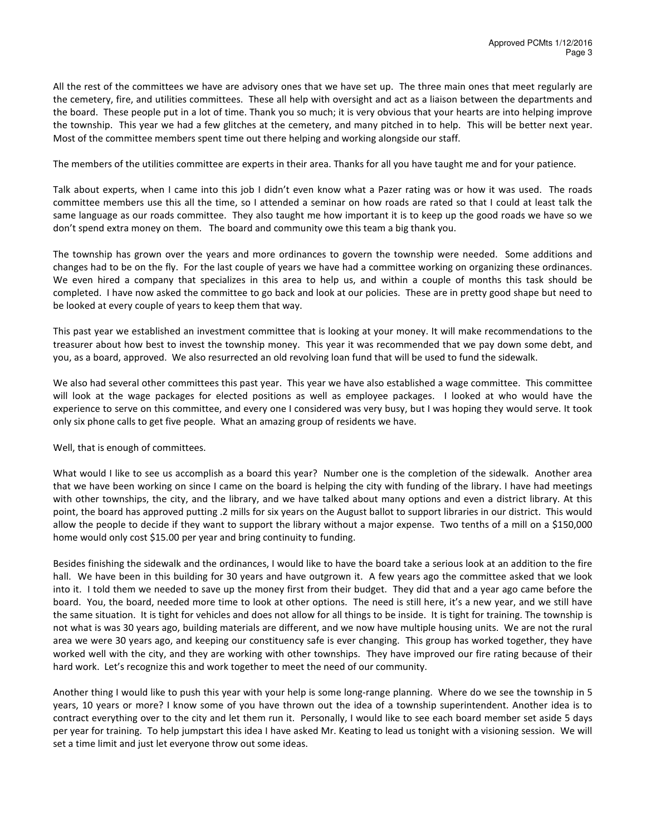All the rest of the committees we have are advisory ones that we have set up. The three main ones that meet regularly are the cemetery, fire, and utilities committees. These all help with oversight and act as a liaison between the departments and the board. These people put in a lot of time. Thank you so much; it is very obvious that your hearts are into helping improve the township. This year we had a few glitches at the cemetery, and many pitched in to help. This will be better next year. Most of the committee members spent time out there helping and working alongside our staff.

The members of the utilities committee are experts in their area. Thanks for all you have taught me and for your patience.

Talk about experts, when I came into this job I didn't even know what a Pazer rating was or how it was used. The roads committee members use this all the time, so I attended a seminar on how roads are rated so that I could at least talk the same language as our roads committee. They also taught me how important it is to keep up the good roads we have so we don't spend extra money on them. The board and community owe this team a big thank you.

The township has grown over the years and more ordinances to govern the township were needed. Some additions and changes had to be on the fly. For the last couple of years we have had a committee working on organizing these ordinances. We even hired a company that specializes in this area to help us, and within a couple of months this task should be completed. I have now asked the committee to go back and look at our policies. These are in pretty good shape but need to be looked at every couple of years to keep them that way.

This past year we established an investment committee that is looking at your money. It will make recommendations to the treasurer about how best to invest the township money. This year it was recommended that we pay down some debt, and you, as a board, approved. We also resurrected an old revolving loan fund that will be used to fund the sidewalk.

We also had several other committees this past year. This year we have also established a wage committee. This committee will look at the wage packages for elected positions as well as employee packages. I looked at who would have the experience to serve on this committee, and every one I considered was very busy, but I was hoping they would serve. It took only six phone calls to get five people. What an amazing group of residents we have.

#### Well, that is enough of committees.

What would I like to see us accomplish as a board this year? Number one is the completion of the sidewalk. Another area that we have been working on since I came on the board is helping the city with funding of the library. I have had meetings with other townships, the city, and the library, and we have talked about many options and even a district library. At this point, the board has approved putting .2 mills for six years on the August ballot to support libraries in our district. This would allow the people to decide if they want to support the library without a major expense. Two tenths of a mill on a \$150,000 home would only cost \$15.00 per year and bring continuity to funding.

Besides finishing the sidewalk and the ordinances, I would like to have the board take a serious look at an addition to the fire hall. We have been in this building for 30 years and have outgrown it. A few years ago the committee asked that we look into it. I told them we needed to save up the money first from their budget. They did that and a year ago came before the board. You, the board, needed more time to look at other options. The need is still here, it's a new year, and we still have the same situation. It is tight for vehicles and does not allow for all things to be inside. It is tight for training. The township is not what is was 30 years ago, building materials are different, and we now have multiple housing units. We are not the rural area we were 30 years ago, and keeping our constituency safe is ever changing. This group has worked together, they have worked well with the city, and they are working with other townships. They have improved our fire rating because of their hard work. Let's recognize this and work together to meet the need of our community.

Another thing I would like to push this year with your help is some long-range planning. Where do we see the township in 5 years, 10 years or more? I know some of you have thrown out the idea of a township superintendent. Another idea is to contract everything over to the city and let them run it. Personally, I would like to see each board member set aside 5 days per year for training. To help jumpstart this idea I have asked Mr. Keating to lead us tonight with a visioning session. We will set a time limit and just let everyone throw out some ideas.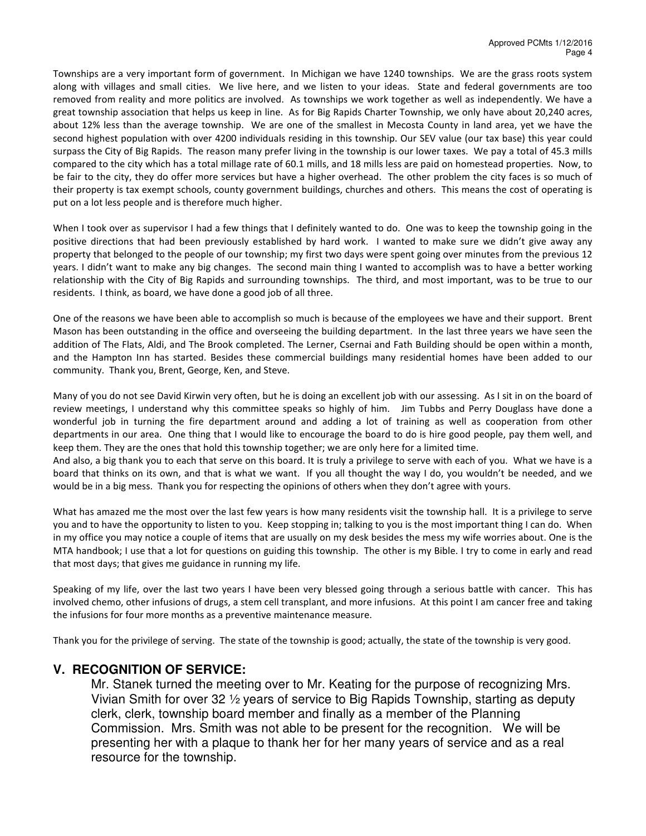Townships are a very important form of government. In Michigan we have 1240 townships. We are the grass roots system along with villages and small cities. We live here, and we listen to your ideas. State and federal governments are too removed from reality and more politics are involved. As townships we work together as well as independently. We have a great township association that helps us keep in line. As for Big Rapids Charter Township, we only have about 20,240 acres, about 12% less than the average township. We are one of the smallest in Mecosta County in land area, yet we have the second highest population with over 4200 individuals residing in this township. Our SEV value (our tax base) this year could surpass the City of Big Rapids. The reason many prefer living in the township is our lower taxes. We pay a total of 45.3 mills compared to the city which has a total millage rate of 60.1 mills, and 18 mills less are paid on homestead properties. Now, to be fair to the city, they do offer more services but have a higher overhead. The other problem the city faces is so much of their property is tax exempt schools, county government buildings, churches and others. This means the cost of operating is put on a lot less people and is therefore much higher.

When I took over as supervisor I had a few things that I definitely wanted to do. One was to keep the township going in the positive directions that had been previously established by hard work. I wanted to make sure we didn't give away any property that belonged to the people of our township; my first two days were spent going over minutes from the previous 12 years. I didn't want to make any big changes. The second main thing I wanted to accomplish was to have a better working relationship with the City of Big Rapids and surrounding townships. The third, and most important, was to be true to our residents. I think, as board, we have done a good job of all three.

One of the reasons we have been able to accomplish so much is because of the employees we have and their support. Brent Mason has been outstanding in the office and overseeing the building department. In the last three years we have seen the addition of The Flats, Aldi, and The Brook completed. The Lerner, Csernai and Fath Building should be open within a month, and the Hampton Inn has started. Besides these commercial buildings many residential homes have been added to our community. Thank you, Brent, George, Ken, and Steve.

Many of you do not see David Kirwin very often, but he is doing an excellent job with our assessing. As I sit in on the board of review meetings, I understand why this committee speaks so highly of him. Jim Tubbs and Perry Douglass have done a wonderful job in turning the fire department around and adding a lot of training as well as cooperation from other departments in our area. One thing that I would like to encourage the board to do is hire good people, pay them well, and keep them. They are the ones that hold this township together; we are only here for a limited time.

And also, a big thank you to each that serve on this board. It is truly a privilege to serve with each of you. What we have is a board that thinks on its own, and that is what we want. If you all thought the way I do, you wouldn't be needed, and we would be in a big mess. Thank you for respecting the opinions of others when they don't agree with yours.

What has amazed me the most over the last few years is how many residents visit the township hall. It is a privilege to serve you and to have the opportunity to listen to you. Keep stopping in; talking to you is the most important thing I can do. When in my office you may notice a couple of items that are usually on my desk besides the mess my wife worries about. One is the MTA handbook; I use that a lot for questions on guiding this township. The other is my Bible. I try to come in early and read that most days; that gives me guidance in running my life.

Speaking of my life, over the last two years I have been very blessed going through a serious battle with cancer. This has involved chemo, other infusions of drugs, a stem cell transplant, and more infusions. At this point I am cancer free and taking the infusions for four more months as a preventive maintenance measure.

Thank you for the privilege of serving. The state of the township is good; actually, the state of the township is very good.

# **V. RECOGNITION OF SERVICE:**

Mr. Stanek turned the meeting over to Mr. Keating for the purpose of recognizing Mrs. Vivian Smith for over 32 ½ years of service to Big Rapids Township, starting as deputy clerk, clerk, township board member and finally as a member of the Planning Commission. Mrs. Smith was not able to be present for the recognition. We will be presenting her with a plaque to thank her for her many years of service and as a real resource for the township.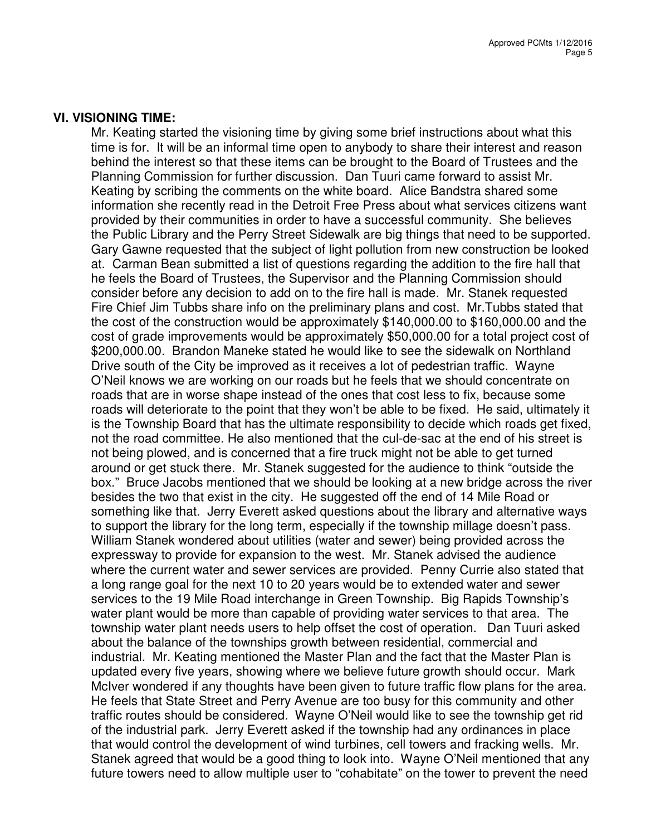#### **VI. VISIONING TIME:**

Mr. Keating started the visioning time by giving some brief instructions about what this time is for. It will be an informal time open to anybody to share their interest and reason behind the interest so that these items can be brought to the Board of Trustees and the Planning Commission for further discussion. Dan Tuuri came forward to assist Mr. Keating by scribing the comments on the white board. Alice Bandstra shared some information she recently read in the Detroit Free Press about what services citizens want provided by their communities in order to have a successful community. She believes the Public Library and the Perry Street Sidewalk are big things that need to be supported. Gary Gawne requested that the subject of light pollution from new construction be looked at. Carman Bean submitted a list of questions regarding the addition to the fire hall that he feels the Board of Trustees, the Supervisor and the Planning Commission should consider before any decision to add on to the fire hall is made. Mr. Stanek requested Fire Chief Jim Tubbs share info on the preliminary plans and cost. Mr.Tubbs stated that the cost of the construction would be approximately \$140,000.00 to \$160,000.00 and the cost of grade improvements would be approximately \$50,000.00 for a total project cost of \$200,000.00. Brandon Maneke stated he would like to see the sidewalk on Northland Drive south of the City be improved as it receives a lot of pedestrian traffic. Wayne O'Neil knows we are working on our roads but he feels that we should concentrate on roads that are in worse shape instead of the ones that cost less to fix, because some roads will deteriorate to the point that they won't be able to be fixed. He said, ultimately it is the Township Board that has the ultimate responsibility to decide which roads get fixed, not the road committee. He also mentioned that the cul-de-sac at the end of his street is not being plowed, and is concerned that a fire truck might not be able to get turned around or get stuck there. Mr. Stanek suggested for the audience to think "outside the box." Bruce Jacobs mentioned that we should be looking at a new bridge across the river besides the two that exist in the city. He suggested off the end of 14 Mile Road or something like that. Jerry Everett asked questions about the library and alternative ways to support the library for the long term, especially if the township millage doesn't pass. William Stanek wondered about utilities (water and sewer) being provided across the expressway to provide for expansion to the west. Mr. Stanek advised the audience where the current water and sewer services are provided. Penny Currie also stated that a long range goal for the next 10 to 20 years would be to extended water and sewer services to the 19 Mile Road interchange in Green Township. Big Rapids Township's water plant would be more than capable of providing water services to that area. The township water plant needs users to help offset the cost of operation. Dan Tuuri asked about the balance of the townships growth between residential, commercial and industrial. Mr. Keating mentioned the Master Plan and the fact that the Master Plan is updated every five years, showing where we believe future growth should occur. Mark McIver wondered if any thoughts have been given to future traffic flow plans for the area. He feels that State Street and Perry Avenue are too busy for this community and other traffic routes should be considered. Wayne O'Neil would like to see the township get rid of the industrial park. Jerry Everett asked if the township had any ordinances in place that would control the development of wind turbines, cell towers and fracking wells. Mr. Stanek agreed that would be a good thing to look into. Wayne O'Neil mentioned that any future towers need to allow multiple user to "cohabitate" on the tower to prevent the need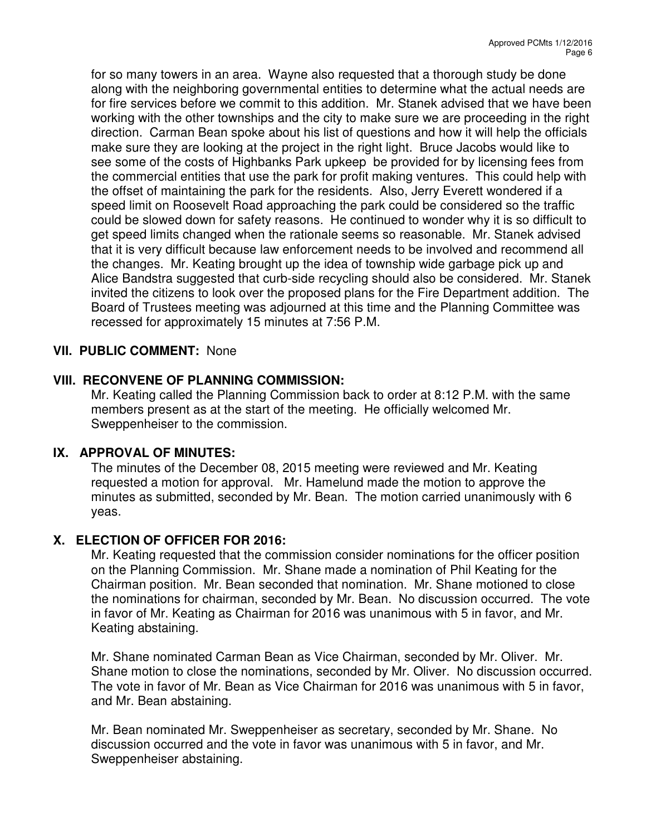for so many towers in an area. Wayne also requested that a thorough study be done along with the neighboring governmental entities to determine what the actual needs are for fire services before we commit to this addition. Mr. Stanek advised that we have been working with the other townships and the city to make sure we are proceeding in the right direction. Carman Bean spoke about his list of questions and how it will help the officials make sure they are looking at the project in the right light. Bruce Jacobs would like to see some of the costs of Highbanks Park upkeep be provided for by licensing fees from the commercial entities that use the park for profit making ventures. This could help with the offset of maintaining the park for the residents. Also, Jerry Everett wondered if a speed limit on Roosevelt Road approaching the park could be considered so the traffic could be slowed down for safety reasons. He continued to wonder why it is so difficult to get speed limits changed when the rationale seems so reasonable. Mr. Stanek advised that it is very difficult because law enforcement needs to be involved and recommend all the changes. Mr. Keating brought up the idea of township wide garbage pick up and Alice Bandstra suggested that curb-side recycling should also be considered. Mr. Stanek invited the citizens to look over the proposed plans for the Fire Department addition. The Board of Trustees meeting was adjourned at this time and the Planning Committee was recessed for approximately 15 minutes at 7:56 P.M.

# **VII. PUBLIC COMMENT:** None

# **VIII. RECONVENE OF PLANNING COMMISSION:**

Mr. Keating called the Planning Commission back to order at 8:12 P.M. with the same members present as at the start of the meeting. He officially welcomed Mr. Sweppenheiser to the commission.

# **IX. APPROVAL OF MINUTES:**

The minutes of the December 08, 2015 meeting were reviewed and Mr. Keating requested a motion for approval. Mr. Hamelund made the motion to approve the minutes as submitted, seconded by Mr. Bean. The motion carried unanimously with 6 yeas.

# **X. ELECTION OF OFFICER FOR 2016:**

Mr. Keating requested that the commission consider nominations for the officer position on the Planning Commission. Mr. Shane made a nomination of Phil Keating for the Chairman position. Mr. Bean seconded that nomination. Mr. Shane motioned to close the nominations for chairman, seconded by Mr. Bean. No discussion occurred. The vote in favor of Mr. Keating as Chairman for 2016 was unanimous with 5 in favor, and Mr. Keating abstaining.

Mr. Shane nominated Carman Bean as Vice Chairman, seconded by Mr. Oliver. Mr. Shane motion to close the nominations, seconded by Mr. Oliver. No discussion occurred. The vote in favor of Mr. Bean as Vice Chairman for 2016 was unanimous with 5 in favor, and Mr. Bean abstaining.

Mr. Bean nominated Mr. Sweppenheiser as secretary, seconded by Mr. Shane. No discussion occurred and the vote in favor was unanimous with 5 in favor, and Mr. Sweppenheiser abstaining.